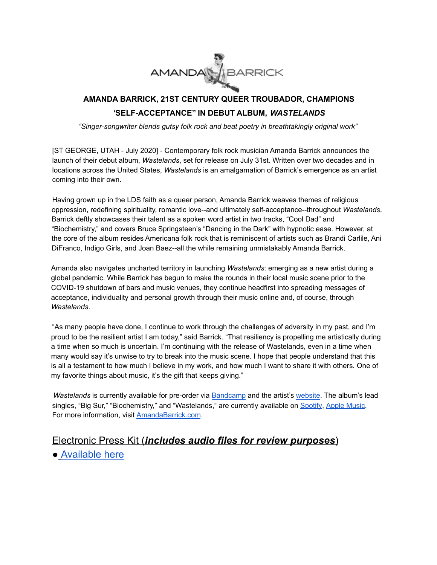

## **AMANDA BARRICK, 21ST CENTURY QUEER TROUBADOR, CHAMPIONS 'SELF-ACCEPTANCE'' IN DEBUT ALBUM,** *WASTELANDS*

*"Singer-songwriter blends gutsy folk rock and beat poetry in breathtakingly original work"*

[ST GEORGE, UTAH - July 2020] - Contemporary folk rock musician Amanda Barrick announces the launch of their debut album, *Wastelands*, set for release on July 31st. Written over two decades and in locations across the United States, *Wastelands* is an amalgamation of Barrick's emergence as an artist coming into their own.

Having grown up in the LDS faith as a queer person, Amanda Barrick weaves themes of religious oppression, redefining spirituality, romantic love--and ultimately self-acceptance--throughout *Wastelands*. Barrick deftly showcases their talent as a spoken word artist in two tracks, "Cool Dad" and "Biochemistry," and covers Bruce Springsteen's "Dancing in the Dark" with hypnotic ease. However, at the core of the album resides Americana folk rock that is reminiscent of artists such as Brandi Carlile, Ani DiFranco, Indigo Girls, and Joan Baez--all the while remaining unmistakably Amanda Barrick.

Amanda also navigates uncharted territory in launching *Wastelands*: emerging as a new artist during a global pandemic. While Barrick has begun to make the rounds in their local music scene prior to the COVID-19 shutdown of bars and music venues, they continue headfirst into spreading messages of acceptance, individuality and personal growth through their music online and, of course, through *Wastelands*.

"As many people have done, I continue to work through the challenges of adversity in my past, and I'm proud to be the resilient artist I am today," said Barrick. "That resiliency is propelling me artistically during a time when so much is uncertain. I'm continuing with the release of Wastelands, even in a time when many would say it's unwise to try to break into the music scene. I hope that people understand that this is all a testament to how much I believe in my work, and how much I want to share it with others. One of my favorite things about music, it's the gift that keeps giving."

*Wastelands* is currently available for pre-order via [Bandcamp](https://amandabarrick.bandcamp.com/) and the artist's [website.](http://www.amandabarrick.com) The album's lead singles, "Big Sur," "Biochemistry," and "Wastelands," are currently available on [Spotify](https://open.spotify.com/artist/5MAnD8rDx3dqRRTPbt4xAs), Apple [Music](https://music.apple.com/us/artist/amanda-barrick/1512216550). For more information, visit [AmandaBarrick.com](http://www.amandabarrick.com).

### Electronic Press Kit (*includes audio files for review purposes*)

● [Available](https://www.amandabarrick.com/epk-1) here